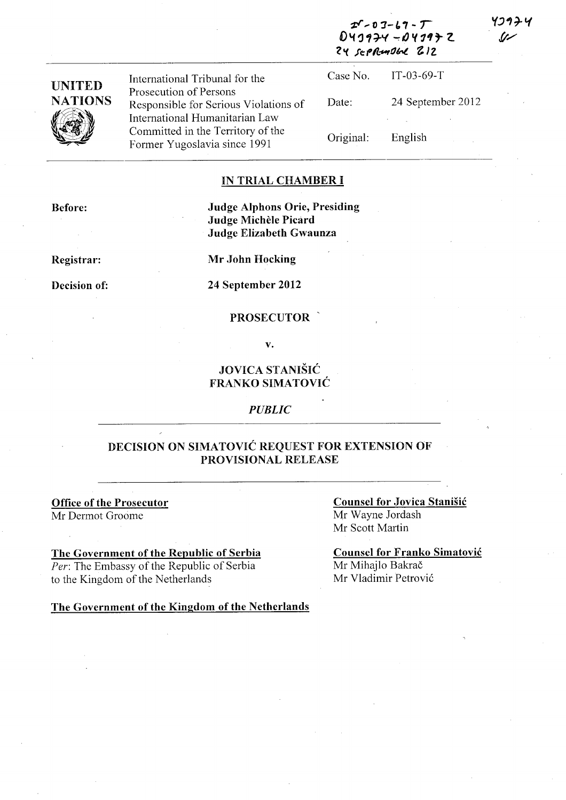| <b>UNITED</b>  |                                                                                                   | 24 sepRendbel 212 |                       |
|----------------|---------------------------------------------------------------------------------------------------|-------------------|-----------------------|
|                | International Tribunal for the                                                                    |                   | Case No. $IT-03-69-T$ |
| <b>NATIONS</b> | Prosecution of Persons<br>Responsible for Serious Violations of<br>International Humanitarian Law | Date:             | 24 September 2012     |
|                | Committed in the Territory of the<br>Former Yugoslavia since 1991                                 | Original:         | English               |

#### IN TRIAL CHAMBER I

Judge Alphons Orie, Presiding Judge Michele Picard Judge Elizabeth Gwaunza

Registrar:

Before:

Mr John Hocking

Decision of: 24 September 2012

#### PROSECUTOR

v.

## JOVICA STANISIC FRANKO SIMATOVIC

#### *PUBLIC*

#### DECISION ON SIMATOVIC REQUEST FOR EXTENSION OF PROVISIONAL RELEASE

Office of the Prosecutor Mr Dermot Groome

The Government of the Republic of Serbia *Per:* The Embassy of the Republic of Serbia to the Kingdom of the Netherlands

Counsel for Jovica Stanisic Mr Wayne Jordash Mr Scott Martin

 $2^{\mathcal{S}}$  -  $0$   $3$  -  $6$   $7$  -  $7$ D43974 -04*3*97 Z ソコタチリ رئ.

Counsel for Franko Simatovic Mr Mihajlo Bakrač Mr Vladimir Petrovi6

The Government of the Kingdom of the Netherlands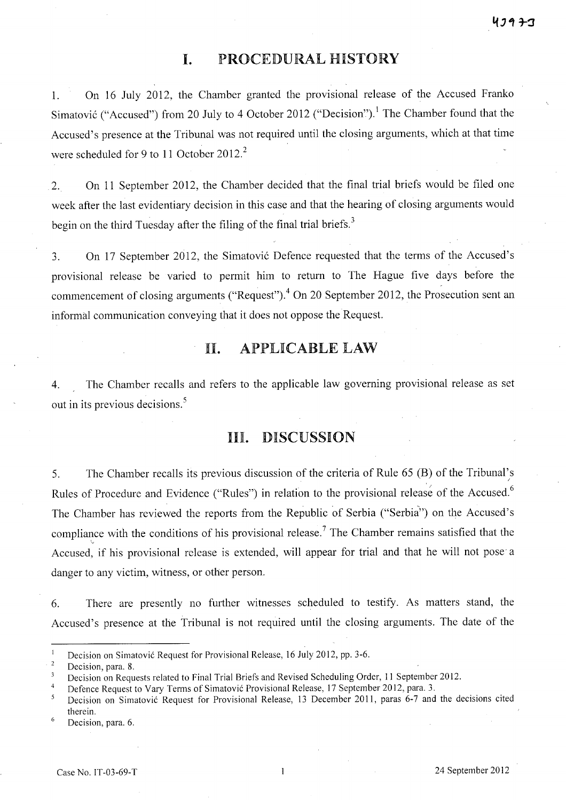## **I.** PROCEDURAL HISTORY

1. On 16 July 2012, the Chamber granted the provisional release of the Accused Franko Simatović ("Accused") from 20 July to 4 October 2012 ("Decision").<sup>1</sup> The Chamber found that the Accused's presence at the Tribunal was not required until the closing arguments, which at that time were scheduled for 9 to 11 October  $2012.<sup>2</sup>$ 

2. On 11 September 2012, the Chamber decided that the final trial briefs would be filed one week after the last evidentiary decision in this case and that the hearing of closing arguments would begin on the third Tuesday after the filing of the final trial briefs.<sup>3</sup>

3. On 17 September 2012, the Simatovi6 Defence requested that the terms of the Accused's provisional release be varied to permit him to return to The Hague five days before the commencement of closing arguments ("Request").<sup>4</sup> On 20 September 2012, the Prosecution sent an informal communication conveying that it does not oppose the Request.

# 11. APPLICABLE LAW

4. The Chamber recalls and refers to the applicable law governing provisional release as set out in its previous decisions. <sup>5</sup>

### Ill. DISCUSSION

5. The Chamber recalls its previous discussion of the criteria of Rule 65 (B) of the Tribunal's / Rules of Procedure and Evidence ("Rules") in relation to the provisional release of the Accused.<sup>6</sup> The Chamber has reviewed the reports from the Republic of Serbia ("Serbia") on the Accused's compliance with the conditions of his provisional release.<sup>7</sup> The Chamber remains satisfied that the Accused, if his provisional release is extended, will appear for trial and that he will not pose a danger to any victim, witness, or other person.

6. There are presently no further witnesses scheduled to testify. As matters stand, the Accused's presence at the Tribunal is not required until the closing arguments. The date of the

Decision on Simatovi6 Request for Provisional Release, 16 July 2012, pp. 3-6.

 $\overline{2}$ Decision, para. 8.

Decision on Requests related to Final Trial Briefs and Revised Scheduling Order, 11 September 2012.

<sup>4</sup>  Defence Request to Vary Terms of Simatović Provisional Release, 17 September 2012, para. 3.

Decision on Simatović Request for Provisional Release, 13 December 2011, paras 6-7 and the decisions cited 5 therein.

<sup>6</sup> Decision, para. 6.